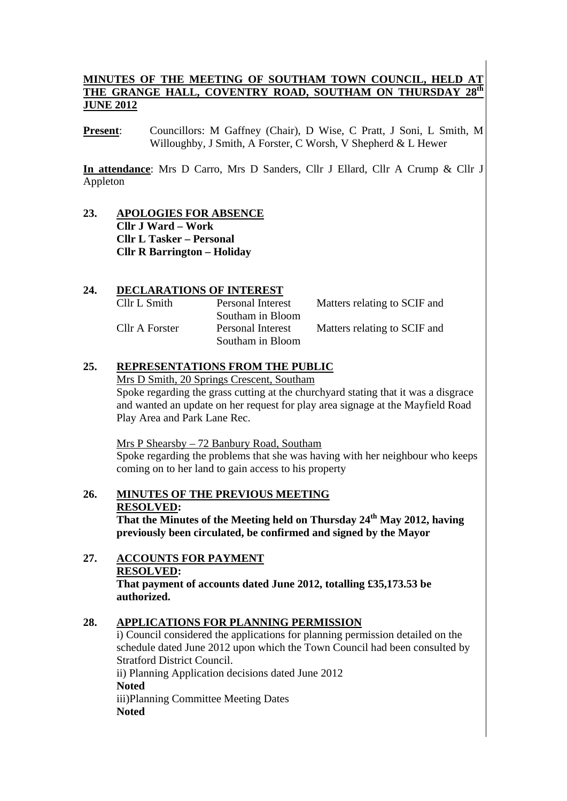## **MINUTES OF THE MEETING OF SOUTHAM TOWN COUNCIL, HELD AT THE GRANGE HALL. COVENTRY ROAD. SOUTHAM ON THURSDAV 28th** THE GRANGE HALL, COVENTRY ROAD, SOUTHAM ON THURSDAY **JUNE 2012**

**Present**: Councillors: M Gaffney (Chair), D Wise, C Pratt, J Soni, L Smith, M Willoughby, J Smith, A Forster, C Worsh, V Shepherd & L Hewer

**In attendance**: Mrs D Carro, Mrs D Sanders, Cllr J Ellard, Cllr A Crump & Cllr J Appleton

**23. APOLOGIES FOR ABSENCE Cllr J Ward – Work Cllr L Tasker – Personal Cllr R Barrington – Holiday** 

## **24. DECLARATIONS OF INTEREST**

| Cllr L Smith   | Personal Interest                     | Matters relating to SCIF and |
|----------------|---------------------------------------|------------------------------|
|                | Southam in Bloom                      |                              |
| Cllr A Forster | Personal Interest<br>Southam in Bloom | Matters relating to SCIF and |
|                |                                       |                              |

## **25. REPRESENTATIONS FROM THE PUBLIC**

Mrs D Smith, 20 Springs Crescent, Southam Spoke regarding the grass cutting at the churchyard stating that it was a disgrace and wanted an update on her request for play area signage at the Mayfield Road Play Area and Park Lane Rec.

Mrs P Shearsby – 72 Banbury Road, Southam

Spoke regarding the problems that she was having with her neighbour who keeps coming on to her land to gain access to his property

**26. MINUTES OF THE PREVIOUS MEETING RESOLVED: That the Minutes of the Meeting held on Thursday 24th May 2012, having** 

**previously been circulated, be confirmed and signed by the Mayor** 

**27. ACCOUNTS FOR PAYMENT RESOLVED: That payment of accounts dated June 2012, totalling £35,173.53 be authorized.** 

## **28. APPLICATIONS FOR PLANNING PERMISSION**

i) Council considered the applications for planning permission detailed on the schedule dated June 2012 upon which the Town Council had been consulted by Stratford District Council. ii) Planning Application decisions dated June 2012

**Noted**  iii)Planning Committee Meeting Dates **Noted**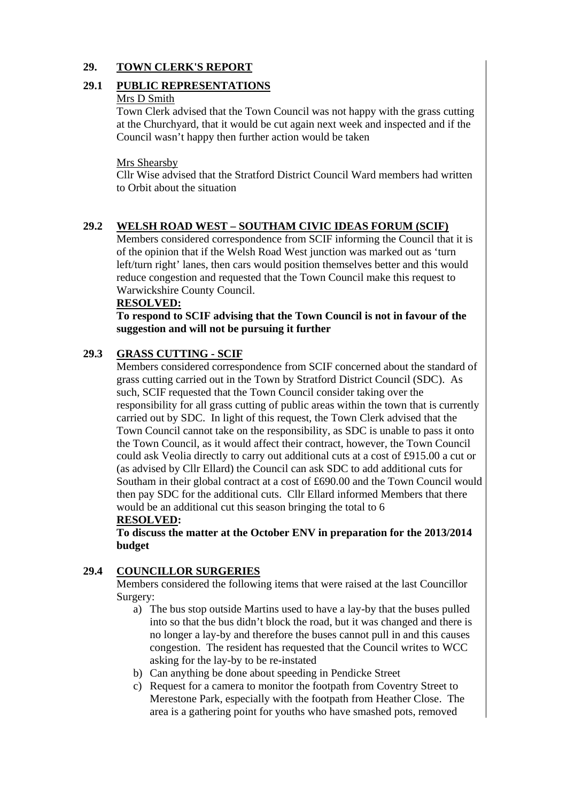## **29. TOWN CLERK'S REPORT**

### **29.1 PUBLIC REPRESENTATIONS**

#### Mrs D Smith

Town Clerk advised that the Town Council was not happy with the grass cutting at the Churchyard, that it would be cut again next week and inspected and if the Council wasn't happy then further action would be taken

#### Mrs Shearsby

Cllr Wise advised that the Stratford District Council Ward members had written to Orbit about the situation

#### **29.2 WELSH ROAD WEST – SOUTHAM CIVIC IDEAS FORUM (SCIF)**

Members considered correspondence from SCIF informing the Council that it is of the opinion that if the Welsh Road West junction was marked out as 'turn left/turn right' lanes, then cars would position themselves better and this would reduce congestion and requested that the Town Council make this request to Warwickshire County Council.

#### **RESOLVED:**

 **To respond to SCIF advising that the Town Council is not in favour of the suggestion and will not be pursuing it further** 

# **29.3 GRASS CUTTING - SCIF**

Members considered correspondence from SCIF concerned about the standard of grass cutting carried out in the Town by Stratford District Council (SDC). As such, SCIF requested that the Town Council consider taking over the responsibility for all grass cutting of public areas within the town that is currently carried out by SDC. In light of this request, the Town Clerk advised that the Town Council cannot take on the responsibility, as SDC is unable to pass it onto the Town Council, as it would affect their contract, however, the Town Council could ask Veolia directly to carry out additional cuts at a cost of £915.00 a cut or (as advised by Cllr Ellard) the Council can ask SDC to add additional cuts for Southam in their global contract at a cost of £690.00 and the Town Council would then pay SDC for the additional cuts. Cllr Ellard informed Members that there would be an additional cut this season bringing the total to 6

## **RESOLVED:**

**To discuss the matter at the October ENV in preparation for the 2013/2014 budget** 

#### **29.4 COUNCILLOR SURGERIES**

Members considered the following items that were raised at the last Councillor Surgery:

- a) The bus stop outside Martins used to have a lay-by that the buses pulled into so that the bus didn't block the road, but it was changed and there is no longer a lay-by and therefore the buses cannot pull in and this causes congestion. The resident has requested that the Council writes to WCC asking for the lay-by to be re-instated
- b) Can anything be done about speeding in Pendicke Street
- c) Request for a camera to monitor the footpath from Coventry Street to Merestone Park, especially with the footpath from Heather Close. The area is a gathering point for youths who have smashed pots, removed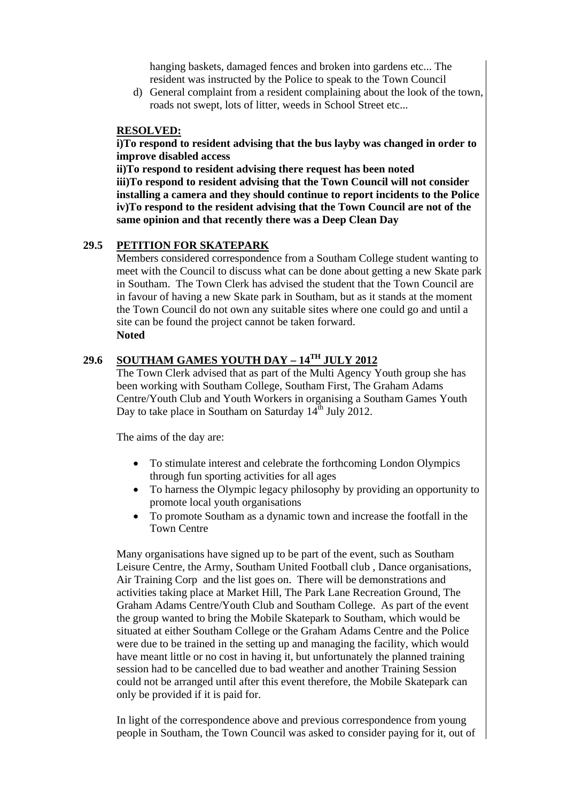hanging baskets, damaged fences and broken into gardens etc... The resident was instructed by the Police to speak to the Town Council

d) General complaint from a resident complaining about the look of the town, roads not swept, lots of litter, weeds in School Street etc...

#### **RESOLVED:**

**i)To respond to resident advising that the bus layby was changed in order to improve disabled access** 

**ii)To respond to resident advising there request has been noted iii)To respond to resident advising that the Town Council will not consider installing a camera and they should continue to report incidents to the Police iv)To respond to the resident advising that the Town Council are not of the same opinion and that recently there was a Deep Clean Day** 

## **29.5 PETITION FOR SKATEPARK**

Members considered correspondence from a Southam College student wanting to meet with the Council to discuss what can be done about getting a new Skate park in Southam. The Town Clerk has advised the student that the Town Council are in favour of having a new Skate park in Southam, but as it stands at the moment the Town Council do not own any suitable sites where one could go and until a site can be found the project cannot be taken forward. **Noted**

# **29.6 SOUTHAM GAMES YOUTH DAY – 14TH JULY 2012**

The Town Clerk advised that as part of the Multi Agency Youth group she has been working with Southam College, Southam First, The Graham Adams Centre/Youth Club and Youth Workers in organising a Southam Games Youth Day to take place in Southam on Saturday  $14<sup>th</sup>$  July 2012.

The aims of the day are:

- To stimulate interest and celebrate the forthcoming London Olympics through fun sporting activities for all ages
- To harness the Olympic legacy philosophy by providing an opportunity to promote local youth organisations
- To promote Southam as a dynamic town and increase the footfall in the Town Centre

Many organisations have signed up to be part of the event, such as Southam Leisure Centre, the Army, Southam United Football club , Dance organisations, Air Training Corp and the list goes on. There will be demonstrations and activities taking place at Market Hill, The Park Lane Recreation Ground, The Graham Adams Centre/Youth Club and Southam College. As part of the event the group wanted to bring the Mobile Skatepark to Southam, which would be situated at either Southam College or the Graham Adams Centre and the Police were due to be trained in the setting up and managing the facility, which would have meant little or no cost in having it, but unfortunately the planned training session had to be cancelled due to bad weather and another Training Session could not be arranged until after this event therefore, the Mobile Skatepark can only be provided if it is paid for.

In light of the correspondence above and previous correspondence from young people in Southam, the Town Council was asked to consider paying for it, out of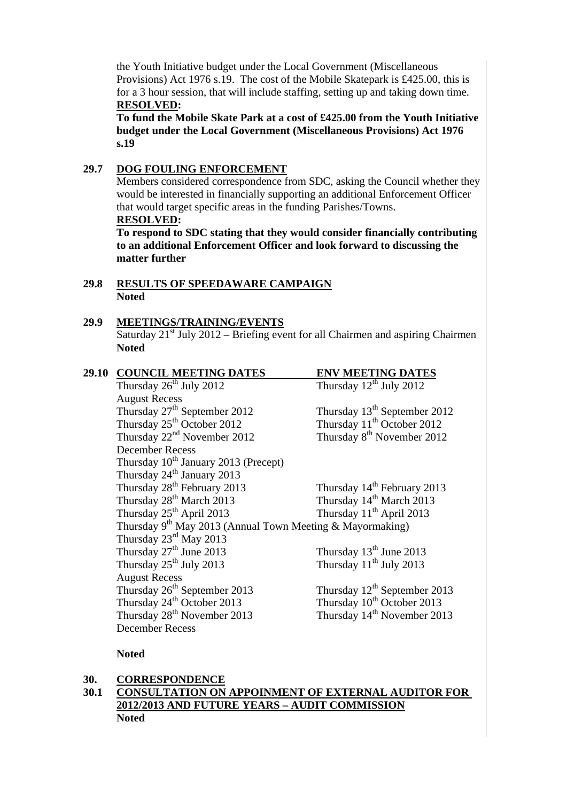the Youth Initiative budget under the Local Government (Miscellaneous Provisions) Act 1976 s.19. The cost of the Mobile Skatepark is £425.00, this is for a 3 hour session, that will include staffing, setting up and taking down time. **RESOLVED:** 

**To fund the Mobile Skate Park at a cost of £425.00 from the Youth Initiative budget under the Local Government (Miscellaneous Provisions) Act 1976 s.19** 

### **29.7 DOG FOULING ENFORCEMENT**

Members considered correspondence from SDC, asking the Council whether they would be interested in financially supporting an additional Enforcement Officer that would target specific areas in the funding Parishes/Towns. **RESOLVED:** 

 **To respond to SDC stating that they would consider financially contributing to an additional Enforcement Officer and look forward to discussing the matter further** 

#### **29.8 RESULTS OF SPEEDAWARE CAMPAIGN Noted**

## **29.9 MEETINGS/TRAINING/EVENTS**

Saturday  $21<sup>st</sup>$  July 2012 – Briefing event for all Chairmen and aspiring Chairmen **Noted** 

| 29.10 | <b>COUNCIL MEETING DATES</b>                                   | <b>ENV MEETING DATES</b>                |
|-------|----------------------------------------------------------------|-----------------------------------------|
|       | Thursday 26 <sup>th</sup> July 2012                            | Thursday $12^{th}$ July 2012            |
|       | <b>August Recess</b>                                           |                                         |
|       | Thursday 27 <sup>th</sup> September 2012                       | Thursday $13th$ September 2012          |
|       | Thursday 25 <sup>th</sup> October 2012                         | Thursday 11 <sup>th</sup> October 2012  |
|       | Thursday $22nd$ November 2012                                  | Thursday 8 <sup>th</sup> November 2012  |
|       | <b>December Recess</b>                                         |                                         |
|       | Thursday 10 <sup>th</sup> January 2013 (Precept)               |                                         |
|       | Thursday 24 <sup>th</sup> January 2013                         |                                         |
|       | Thursday 28 <sup>th</sup> February 2013                        | Thursday 14 <sup>th</sup> February 2013 |
|       | Thursday 28 <sup>th</sup> March 2013                           | Thursday 14 <sup>th</sup> March 2013    |
|       | Thursday 25 <sup>th</sup> April 2013                           | Thursday 11 <sup>th</sup> April 2013    |
|       | Thursday $9^{th}$ May 2013 (Annual Town Meeting & Mayormaking) |                                         |
|       | Thursday 23 <sup>rd</sup> May 2013                             |                                         |
|       | Thursday 27 <sup>th</sup> June 2013                            | Thursday $13th$ June 2013               |
|       | Thursday $25^{th}$ July 2013                                   | Thursday $11th$ July 2013               |
|       | <b>August Recess</b>                                           |                                         |
|       | Thursday 26 <sup>th</sup> September 2013                       | Thursday $12^{th}$ September 2013       |
|       | Thursday 24 <sup>th</sup> October 2013                         | Thursday 10 <sup>th</sup> October 2013  |
|       | Thursday 28 <sup>th</sup> November 2013                        | Thursday 14 <sup>th</sup> November 2013 |
|       | <b>December Recess</b>                                         |                                         |

## **Noted**

#### **30. CORRESPONDENCE**

## **30.1 CONSULTATION ON APPOINMENT OF EXTERNAL AUDITOR FOR 2012/2013 AND FUTURE YEARS – AUDIT COMMISSION Noted**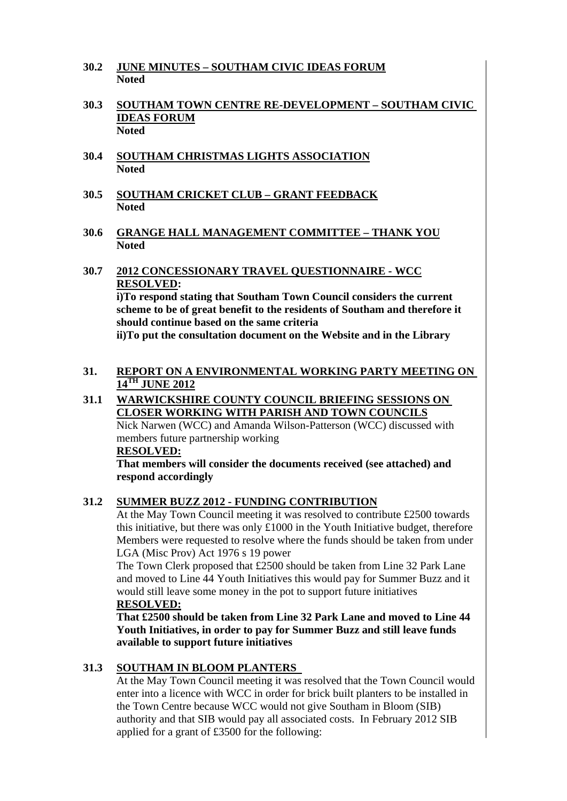- **30.2 JUNE MINUTES SOUTHAM CIVIC IDEAS FORUM Noted**
- **30.3 SOUTHAM TOWN CENTRE RE-DEVELOPMENT SOUTHAM CIVIC IDEAS FORUM Noted**
- **30.4 SOUTHAM CHRISTMAS LIGHTS ASSOCIATION Noted**
- **30.5 SOUTHAM CRICKET CLUB GRANT FEEDBACK Noted**
- **30.6 GRANGE HALL MANAGEMENT COMMITTEE THANK YOU Noted**
- **30.7 2012 CONCESSIONARY TRAVEL QUESTIONNAIRE WCC RESOLVED: i)To respond stating that Southam Town Council considers the current**

**scheme to be of great benefit to the residents of Southam and therefore it should continue based on the same criteria** 

 **ii)To put the consultation document on the Website and in the Library** 

## **31. REPORT ON A ENVIRONMENTAL WORKING PARTY MEETING ON 14TH JUNE 2012**

#### **31.1 WARWICKSHIRE COUNTY COUNCIL BRIEFING SESSIONS ON CLOSER WORKING WITH PARISH AND TOWN COUNCILS** Nick Narwen (WCC) and Amanda Wilson-Patterson (WCC) discussed with members future partnership working

 **RESOLVED:**

**That members will consider the documents received (see attached) and respond accordingly** 

## **31.2 SUMMER BUZZ 2012 - FUNDING CONTRIBUTION**

At the May Town Council meeting it was resolved to contribute £2500 towards this initiative, but there was only £1000 in the Youth Initiative budget, therefore Members were requested to resolve where the funds should be taken from under LGA (Misc Prov) Act 1976 s 19 power

The Town Clerk proposed that £2500 should be taken from Line 32 Park Lane and moved to Line 44 Youth Initiatives this would pay for Summer Buzz and it would still leave some money in the pot to support future initiatives  **RESOLVED:**

**That £2500 should be taken from Line 32 Park Lane and moved to Line 44 Youth Initiatives, in order to pay for Summer Buzz and still leave funds available to support future initiatives** 

## **31.3 SOUTHAM IN BLOOM PLANTERS**

At the May Town Council meeting it was resolved that the Town Council would enter into a licence with WCC in order for brick built planters to be installed in the Town Centre because WCC would not give Southam in Bloom (SIB) authority and that SIB would pay all associated costs. In February 2012 SIB applied for a grant of £3500 for the following: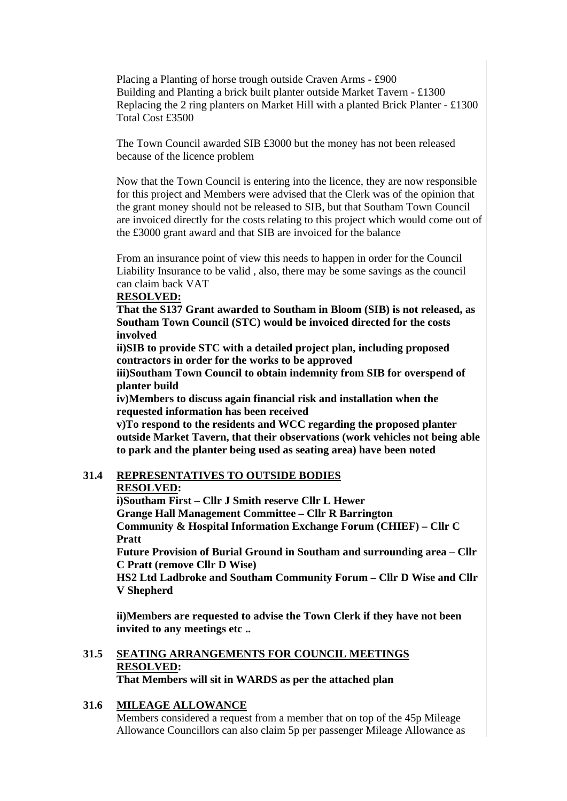Placing a Planting of horse trough outside Craven Arms - £900 Building and Planting a brick built planter outside Market Tavern - £1300 Replacing the 2 ring planters on Market Hill with a planted Brick Planter - £1300 Total Cost £3500

The Town Council awarded SIB £3000 but the money has not been released because of the licence problem

Now that the Town Council is entering into the licence, they are now responsible for this project and Members were advised that the Clerk was of the opinion that the grant money should not be released to SIB, but that Southam Town Council are invoiced directly for the costs relating to this project which would come out of the £3000 grant award and that SIB are invoiced for the balance

From an insurance point of view this needs to happen in order for the Council Liability Insurance to be valid , also, there may be some savings as the council can claim back VAT

#### **RESOLVED:**

**That the S137 Grant awarded to Southam in Bloom (SIB) is not released, as Southam Town Council (STC) would be invoiced directed for the costs involved** 

**ii)SIB to provide STC with a detailed project plan, including proposed contractors in order for the works to be approved** 

**iii)Southam Town Council to obtain indemnity from SIB for overspend of planter build** 

**iv)Members to discuss again financial risk and installation when the requested information has been received** 

**v)To respond to the residents and WCC regarding the proposed planter outside Market Tavern, that their observations (work vehicles not being able to park and the planter being used as seating area) have been noted** 

#### **31.4 REPRESENTATIVES TO OUTSIDE BODIES RESOLVED:**

**i)Southam First – Cllr J Smith reserve Cllr L Hewer** 

**Grange Hall Management Committee – Cllr R Barrington Community & Hospital Information Exchange Forum (CHIEF) – Cllr C Pratt** 

**Future Provision of Burial Ground in Southam and surrounding area – Cllr C Pratt (remove Cllr D Wise)** 

**HS2 Ltd Ladbroke and Southam Community Forum – Cllr D Wise and Cllr V Shepherd** 

**ii)Members are requested to advise the Town Clerk if they have not been invited to any meetings etc ..** 

## **31.5 SEATING ARRANGEMENTS FOR COUNCIL MEETINGS RESOLVED: That Members will sit in WARDS as per the attached plan**

## **31.6 MILEAGE ALLOWANCE**

Members considered a request from a member that on top of the 45p Mileage Allowance Councillors can also claim 5p per passenger Mileage Allowance as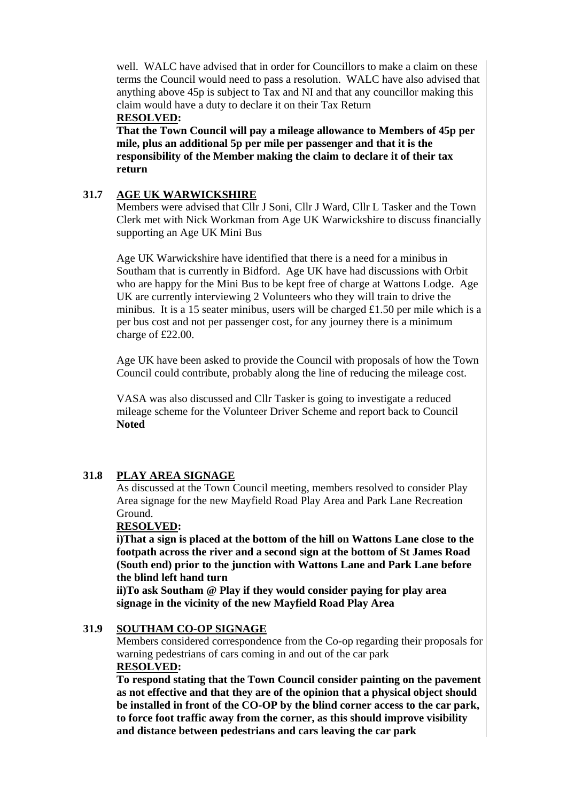well. WALC have advised that in order for Councillors to make a claim on these terms the Council would need to pass a resolution. WALC have also advised that anything above 45p is subject to Tax and NI and that any councillor making this claim would have a duty to declare it on their Tax Return

#### **RESOLVED:**

 **That the Town Council will pay a mileage allowance to Members of 45p per mile, plus an additional 5p per mile per passenger and that it is the responsibility of the Member making the claim to declare it of their tax return** 

### **31.7 AGE UK WARWICKSHIRE**

Members were advised that Cllr J Soni, Cllr J Ward, Cllr L Tasker and the Town Clerk met with Nick Workman from Age UK Warwickshire to discuss financially supporting an Age UK Mini Bus

Age UK Warwickshire have identified that there is a need for a minibus in Southam that is currently in Bidford. Age UK have had discussions with Orbit who are happy for the Mini Bus to be kept free of charge at Wattons Lodge. Age UK are currently interviewing 2 Volunteers who they will train to drive the minibus. It is a 15 seater minibus, users will be charged £1.50 per mile which is a per bus cost and not per passenger cost, for any journey there is a minimum charge of £22.00.

Age UK have been asked to provide the Council with proposals of how the Town Council could contribute, probably along the line of reducing the mileage cost.

VASA was also discussed and Cllr Tasker is going to investigate a reduced mileage scheme for the Volunteer Driver Scheme and report back to Council **Noted** 

## **31.8 PLAY AREA SIGNAGE**

As discussed at the Town Council meeting, members resolved to consider Play Area signage for the new Mayfield Road Play Area and Park Lane Recreation Ground.

#### **RESOLVED:**

 **i)That a sign is placed at the bottom of the hill on Wattons Lane close to the footpath across the river and a second sign at the bottom of St James Road (South end) prior to the junction with Wattons Lane and Park Lane before the blind left hand turn** 

 **ii)To ask Southam @ Play if they would consider paying for play area signage in the vicinity of the new Mayfield Road Play Area** 

## **31.9 SOUTHAM CO-OP SIGNAGE**

Members considered correspondence from the Co-op regarding their proposals for warning pedestrians of cars coming in and out of the car park  **RESOLVED:**

**To respond stating that the Town Council consider painting on the pavement as not effective and that they are of the opinion that a physical object should be installed in front of the CO-OP by the blind corner access to the car park, to force foot traffic away from the corner, as this should improve visibility and distance between pedestrians and cars leaving the car park**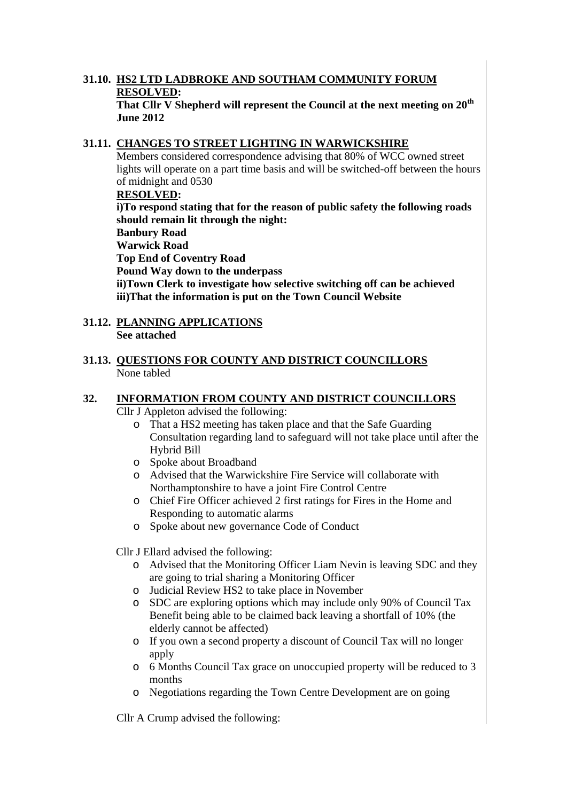#### **31.10. HS2 LTD LADBROKE AND SOUTHAM COMMUNITY FORUM RESOLVED: That Cllr V Shepherd will represent the Council at the next meeting on 20th June 2012**

## **31.11. CHANGES TO STREET LIGHTING IN WARWICKSHIRE**

 Members considered correspondence advising that 80% of WCC owned street lights will operate on a part time basis and will be switched-off between the hours of midnight and 0530

### **RESOLVED:**

**i)To respond stating that for the reason of public safety the following roads should remain lit through the night:** 

#### **Banbury Road Warwick Road**

**Top End of Coventry Road** 

**Pound Way down to the underpass** 

 **ii)Town Clerk to investigate how selective switching off can be achieved iii)That the information is put on the Town Council Website** 

- **31.12. PLANNING APPLICATIONS See attached**
- **31.13. QUESTIONS FOR COUNTY AND DISTRICT COUNCILLORS** None tabled

# **32. INFORMATION FROM COUNTY AND DISTRICT COUNCILLORS**

Cllr J Appleton advised the following:

- o That a HS2 meeting has taken place and that the Safe Guarding Consultation regarding land to safeguard will not take place until after the Hybrid Bill
- o Spoke about Broadband
- o Advised that the Warwickshire Fire Service will collaborate with Northamptonshire to have a joint Fire Control Centre
- o Chief Fire Officer achieved 2 first ratings for Fires in the Home and Responding to automatic alarms
- o Spoke about new governance Code of Conduct

Cllr J Ellard advised the following:

- o Advised that the Monitoring Officer Liam Nevin is leaving SDC and they are going to trial sharing a Monitoring Officer
- o Judicial Review HS2 to take place in November
- o SDC are exploring options which may include only 90% of Council Tax Benefit being able to be claimed back leaving a shortfall of 10% (the elderly cannot be affected)
- o If you own a second property a discount of Council Tax will no longer apply
- o 6 Months Council Tax grace on unoccupied property will be reduced to 3 months
- o Negotiations regarding the Town Centre Development are on going

Cllr A Crump advised the following: